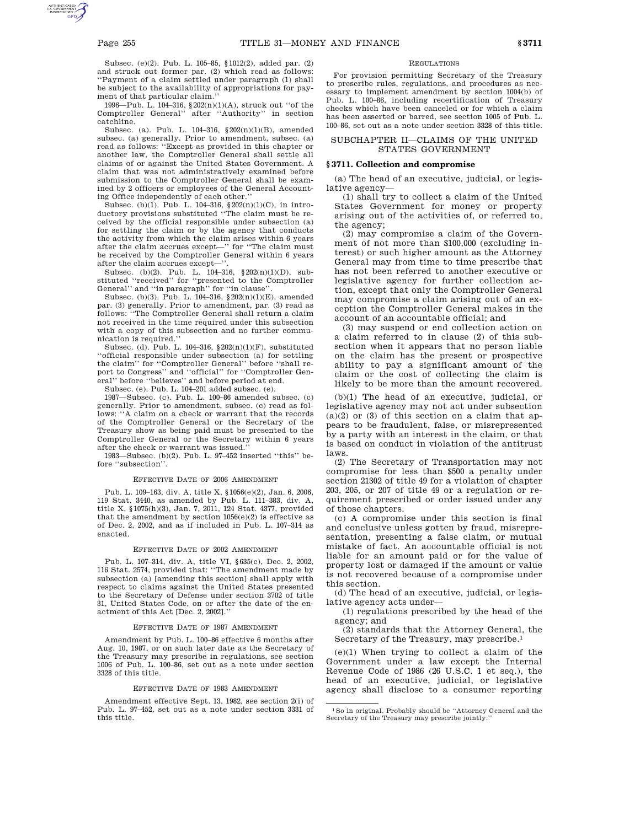Subsec. (e)(2). Pub. L. 105–85, §1012(2), added par. (2) and struck out former par. (2) which read as follows: ''Payment of a claim settled under paragraph (1) shall be subject to the availability of appropriations for payment of that particular claim.''

1996—Pub. L. 104–316, §202(n)(1)(A), struck out ''of the Comptroller General'' after ''Authority'' in section catchline.

Subsec. (a). Pub. L. 104–316, §202(n)(1)(B), amended subsec. (a) generally. Prior to amendment, subsec. (a) read as follows: ''Except as provided in this chapter or another law, the Comptroller General shall settle all claims of or against the United States Government. A claim that was not administratively examined before submission to the Comptroller General shall be examined by 2 officers or employees of the General Accounting Office independently of each other.''

Subsec. (b)(1). Pub. L. 104–316, §202(n)(1)(C), in introductory provisions substituted ''The claim must be received by the official responsible under subsection (a) for settling the claim or by the agency that conducts the activity from which the claim arises within 6 years after the claim accrues except—'' for ''The claim must be received by the Comptroller General within 6 years after the claim accrues except-

Subsec. (b)(2). Pub. L. 104–316, §202(n)(1)(D), substituted ''received'' for ''presented to the Comptroller General'' and ''in paragraph'' for ''in clause''.

Subsec. (b)(3). Pub. L. 104–316, §202(n)(1)(E), amended par. (3) generally. Prior to amendment, par. (3) read as follows: ''The Comptroller General shall return a claim not received in the time required under this subsection with a copy of this subsection and no further communication is required.''

Subsec. (d). Pub. L. 104–316, §202(n)(1)(F), substituted ''official responsible under subsection (a) for settling the claim'' for ''Comptroller General'' before ''shall report to Congress'' and ''official'' for ''Comptroller General'' before ''believes'' and before period at end.

Subsec. (e). Pub. L. 104–201 added subsec. (e).

1987—Subsec. (c). Pub. L. 100–86 amended subsec. (c) generally. Prior to amendment, subsec. (c) read as follows: ''A claim on a check or warrant that the records of the Comptroller General or the Secretary of the Treasury show as being paid must be presented to the Comptroller General or the Secretary within 6 years after the check or warrant was issued.''

1983—Subsec. (b)(2). Pub. L. 97–452 inserted ''this'' before ''subsection''.

#### EFFECTIVE DATE OF 2006 AMENDMENT

Pub. L. 109–163, div. A, title X, §1056(e)(2), Jan. 6, 2006, 119 Stat. 3440, as amended by Pub. L. 111–383, div. A, title X, §1075(h)(3), Jan. 7, 2011, 124 Stat. 4377, provided that the amendment by section  $1056(\mathrm{e})(2)$  is effective as of Dec. 2, 2002, and as if included in Pub. L. 107–314 as enacted.

# EFFECTIVE DATE OF 2002 AMENDMENT

Pub. L. 107–314, div. A, title VI, §635(c), Dec. 2, 2002, 116 Stat. 2574, provided that: ''The amendment made by subsection (a) [amending this section] shall apply with respect to claims against the United States presented to the Secretary of Defense under section 3702 of title 31, United States Code, on or after the date of the enactment of this Act [Dec. 2, 2002].''

## EFFECTIVE DATE OF 1987 AMENDMENT

Amendment by Pub. L. 100–86 effective 6 months after Aug. 10, 1987, or on such later date as the Secretary of the Treasury may prescribe in regulations, see section 1006 of Pub. L. 100–86, set out as a note under section 3328 of this title.

## EFFECTIVE DATE OF 1983 AMENDMENT

Amendment effective Sept. 13, 1982, see section 2(i) of Pub. L. 97–452, set out as a note under section 3331 of this title.

## REGULATIONS

For provision permitting Secretary of the Treasury to prescribe rules, regulations, and procedures as necessary to implement amendment by section 1004(b) of Pub. L. 100–86, including recertification of Treasury checks which have been canceled or for which a claim has been asserted or barred, see section 1005 of Pub. L. 100–86, set out as a note under section 3328 of this title.

# SUBCHAPTER II—CLAIMS OF THE UNITED STATES GOVERNMENT

# **§ 3711. Collection and compromise**

(a) The head of an executive, judicial, or legislative agency—

(1) shall try to collect a claim of the United States Government for money or property arising out of the activities of, or referred to, the agency;

(2) may compromise a claim of the Government of not more than \$100,000 (excluding interest) or such higher amount as the Attorney General may from time to time prescribe that has not been referred to another executive or legislative agency for further collection action, except that only the Comptroller General may compromise a claim arising out of an exception the Comptroller General makes in the account of an accountable official; and

(3) may suspend or end collection action on a claim referred to in clause (2) of this subsection when it appears that no person liable on the claim has the present or prospective ability to pay a significant amount of the claim or the cost of collecting the claim is likely to be more than the amount recovered.

(b)(1) The head of an executive, judicial, or legislative agency may not act under subsection  $(a)(2)$  or  $(3)$  of this section on a claim that appears to be fraudulent, false, or misrepresented by a party with an interest in the claim, or that is based on conduct in violation of the antitrust laws.

(2) The Secretary of Transportation may not compromise for less than \$500 a penalty under section 21302 of title 49 for a violation of chapter 203, 205, or 207 of title 49 or a regulation or requirement prescribed or order issued under any of those chapters.

(c) A compromise under this section is final and conclusive unless gotten by fraud, misrepresentation, presenting a false claim, or mutual mistake of fact. An accountable official is not liable for an amount paid or for the value of property lost or damaged if the amount or value is not recovered because of a compromise under this section.

(d) The head of an executive, judicial, or legislative agency acts under—

(1) regulations prescribed by the head of the agency; and

(2) standards that the Attorney General, the Secretary of the Treasury, may prescribe.1

(e)(1) When trying to collect a claim of the Government under a law except the Internal Revenue Code of 1986 (26 U.S.C. 1 et seq.), the head of an executive, judicial, or legislative agency shall disclose to a consumer reporting

 $^{\rm 1}\!$  So in original. Probably should be ''Attorney General and the Secretary of the Treasury may prescribe jointly.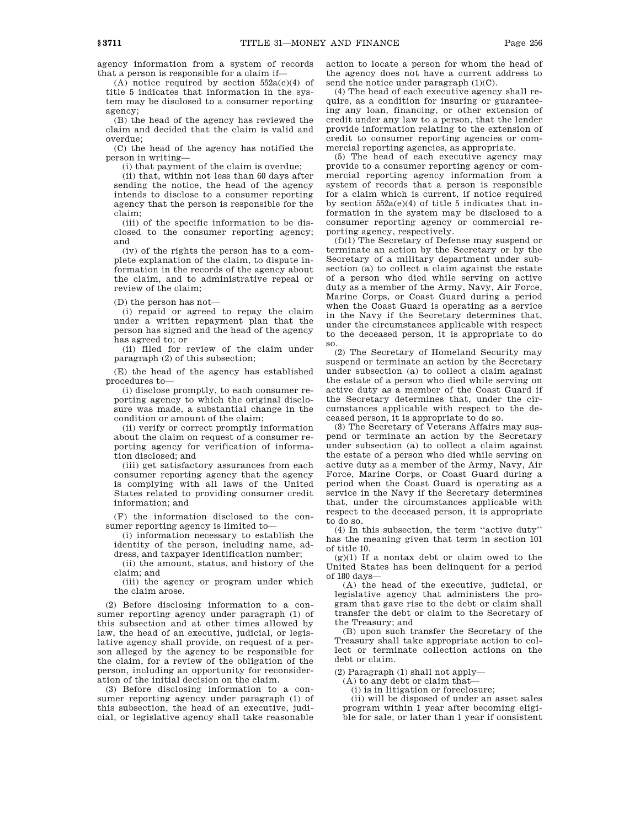agency information from a system of records that a person is responsible for a claim if—

(A) notice required by section  $552a(e)(4)$  of title 5 indicates that information in the system may be disclosed to a consumer reporting agency;

(B) the head of the agency has reviewed the claim and decided that the claim is valid and overdue;

(C) the head of the agency has notified the person in writing—

(i) that payment of the claim is overdue;

(ii) that, within not less than 60 days after sending the notice, the head of the agency intends to disclose to a consumer reporting agency that the person is responsible for the claim;

(iii) of the specific information to be disclosed to the consumer reporting agency; and

(iv) of the rights the person has to a complete explanation of the claim, to dispute information in the records of the agency about the claim, and to administrative repeal or review of the claim;

(D) the person has not—

(i) repaid or agreed to repay the claim under a written repayment plan that the person has signed and the head of the agency has agreed to; or

(ii) filed for review of the claim under paragraph (2) of this subsection;

(E) the head of the agency has established procedures to—

(i) disclose promptly, to each consumer reporting agency to which the original disclosure was made, a substantial change in the condition or amount of the claim;

(ii) verify or correct promptly information about the claim on request of a consumer reporting agency for verification of information disclosed; and

(iii) get satisfactory assurances from each consumer reporting agency that the agency is complying with all laws of the United States related to providing consumer credit information; and

(F) the information disclosed to the consumer reporting agency is limited to—

(i) information necessary to establish the identity of the person, including name, address, and taxpayer identification number;

(ii) the amount, status, and history of the claim; and

(iii) the agency or program under which the claim arose.

(2) Before disclosing information to a consumer reporting agency under paragraph (1) of this subsection and at other times allowed by law, the head of an executive, judicial, or legislative agency shall provide, on request of a person alleged by the agency to be responsible for the claim, for a review of the obligation of the person, including an opportunity for reconsideration of the initial decision on the claim.

(3) Before disclosing information to a consumer reporting agency under paragraph (1) of this subsection, the head of an executive, judicial, or legislative agency shall take reasonable

action to locate a person for whom the head of the agency does not have a current address to send the notice under paragraph  $(1)(C)$ .

(4) The head of each executive agency shall require, as a condition for insuring or guaranteeing any loan, financing, or other extension of credit under any law to a person, that the lender provide information relating to the extension of credit to consumer reporting agencies or commercial reporting agencies, as appropriate.

(5) The head of each executive agency may provide to a consumer reporting agency or commercial reporting agency information from a system of records that a person is responsible for a claim which is current, if notice required by section  $552a(e)(4)$  of title 5 indicates that information in the system may be disclosed to a consumer reporting agency or commercial reporting agency, respectively.

(f)(1) The Secretary of Defense may suspend or terminate an action by the Secretary or by the Secretary of a military department under subsection (a) to collect a claim against the estate of a person who died while serving on active duty as a member of the Army, Navy, Air Force, Marine Corps, or Coast Guard during a period when the Coast Guard is operating as a service in the Navy if the Secretary determines that, under the circumstances applicable with respect to the deceased person, it is appropriate to do so.

(2) The Secretary of Homeland Security may suspend or terminate an action by the Secretary under subsection (a) to collect a claim against the estate of a person who died while serving on active duty as a member of the Coast Guard if the Secretary determines that, under the circumstances applicable with respect to the deceased person, it is appropriate to do so.

(3) The Secretary of Veterans Affairs may suspend or terminate an action by the Secretary under subsection (a) to collect a claim against the estate of a person who died while serving on active duty as a member of the Army, Navy, Air Force, Marine Corps, or Coast Guard during a period when the Coast Guard is operating as a service in the Navy if the Secretary determines that, under the circumstances applicable with respect to the deceased person, it is appropriate to do so.

(4) In this subsection, the term ''active duty'' has the meaning given that term in section 101 of title 10.

 $(g)(1)$  If a nontax debt or claim owed to the United States has been delinquent for a period of 180 days—

(A) the head of the executive, judicial, or legislative agency that administers the program that gave rise to the debt or claim shall transfer the debt or claim to the Secretary of the Treasury; and

(B) upon such transfer the Secretary of the Treasury shall take appropriate action to collect or terminate collection actions on the debt or claim.

(2) Paragraph (1) shall not apply—

(A) to any debt or claim that—

(i) is in litigation or foreclosure;

(ii) will be disposed of under an asset sales program within 1 year after becoming eligible for sale, or later than 1 year if consistent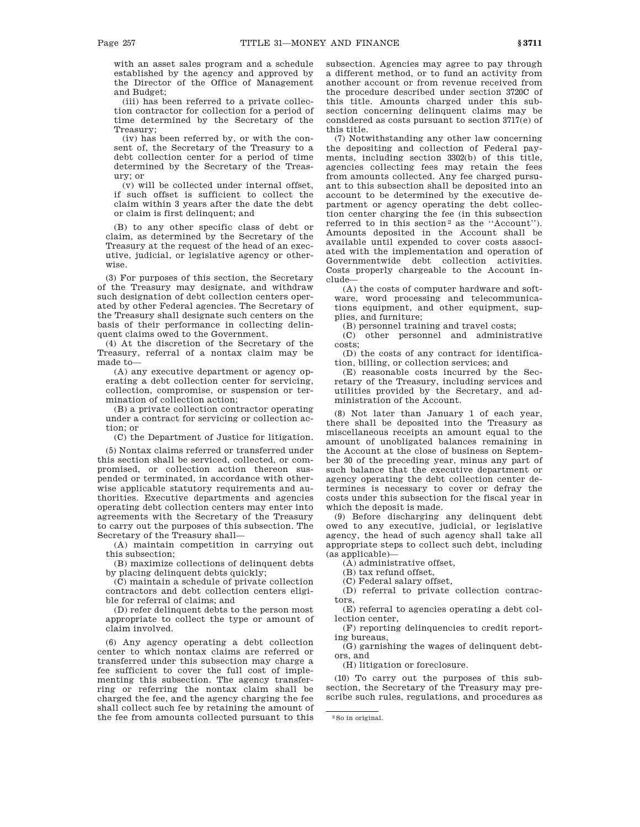with an asset sales program and a schedule established by the agency and approved by the Director of the Office of Management and Budget;

(iii) has been referred to a private collection contractor for collection for a period of time determined by the Secretary of the Treasury;

(iv) has been referred by, or with the consent of, the Secretary of the Treasury to a debt collection center for a period of time determined by the Secretary of the Treasury; or

(v) will be collected under internal offset, if such offset is sufficient to collect the claim within 3 years after the date the debt or claim is first delinquent; and

(B) to any other specific class of debt or claim, as determined by the Secretary of the Treasury at the request of the head of an executive, judicial, or legislative agency or otherwise.

(3) For purposes of this section, the Secretary of the Treasury may designate, and withdraw such designation of debt collection centers operated by other Federal agencies. The Secretary of the Treasury shall designate such centers on the basis of their performance in collecting delinquent claims owed to the Government.

(4) At the discretion of the Secretary of the Treasury, referral of a nontax claim may be made to—

(A) any executive department or agency operating a debt collection center for servicing, collection, compromise, or suspension or termination of collection action;

(B) a private collection contractor operating under a contract for servicing or collection action; or

(C) the Department of Justice for litigation.

(5) Nontax claims referred or transferred under this section shall be serviced, collected, or compromised, or collection action thereon suspended or terminated, in accordance with otherwise applicable statutory requirements and authorities. Executive departments and agencies operating debt collection centers may enter into agreements with the Secretary of the Treasury to carry out the purposes of this subsection. The Secretary of the Treasury shall—

(A) maintain competition in carrying out this subsection;

(B) maximize collections of delinquent debts by placing delinquent debts quickly;

(C) maintain a schedule of private collection contractors and debt collection centers eligible for referral of claims; and

(D) refer delinquent debts to the person most appropriate to collect the type or amount of claim involved.

(6) Any agency operating a debt collection center to which nontax claims are referred or transferred under this subsection may charge a fee sufficient to cover the full cost of implementing this subsection. The agency transferring or referring the nontax claim shall be charged the fee, and the agency charging the fee shall collect such fee by retaining the amount of the fee from amounts collected pursuant to this subsection. Agencies may agree to pay through a different method, or to fund an activity from another account or from revenue received from the procedure described under section 3720C of this title. Amounts charged under this subsection concerning delinquent claims may be considered as costs pursuant to section 3717(e) of this title.

(7) Notwithstanding any other law concerning the depositing and collection of Federal payments, including section 3302(b) of this title, agencies collecting fees may retain the fees from amounts collected. Any fee charged pursuant to this subsection shall be deposited into an account to be determined by the executive department or agency operating the debt collection center charging the fee (in this subsection referred to in this section<sup>2</sup> as the "Account"). Amounts deposited in the Account shall be available until expended to cover costs associated with the implementation and operation of Governmentwide debt collection activities. Costs properly chargeable to the Account include—

(A) the costs of computer hardware and software, word processing and telecommunications equipment, and other equipment, supplies, and furniture;

(B) personnel training and travel costs;

(C) other personnel and administrative costs;

(D) the costs of any contract for identification, billing, or collection services; and

(E) reasonable costs incurred by the Secretary of the Treasury, including services and utilities provided by the Secretary, and administration of the Account.

(8) Not later than January 1 of each year, there shall be deposited into the Treasury as miscellaneous receipts an amount equal to the amount of unobligated balances remaining in the Account at the close of business on September 30 of the preceding year, minus any part of such balance that the executive department or agency operating the debt collection center determines is necessary to cover or defray the costs under this subsection for the fiscal year in which the deposit is made.

(9) Before discharging any delinquent debt owed to any executive, judicial, or legislative agency, the head of such agency shall take all appropriate steps to collect such debt, including (as applicable)—

(A) administrative offset,

(B) tax refund offset,

(C) Federal salary offset,

(D) referral to private collection contractors,

(E) referral to agencies operating a debt collection center,

(F) reporting delinquencies to credit reporting bureaus,

(G) garnishing the wages of delinquent debtors, and

(H) litigation or foreclosure.

(10) To carry out the purposes of this subsection, the Secretary of the Treasury may prescribe such rules, regulations, and procedures as

<sup>2</sup>So in original.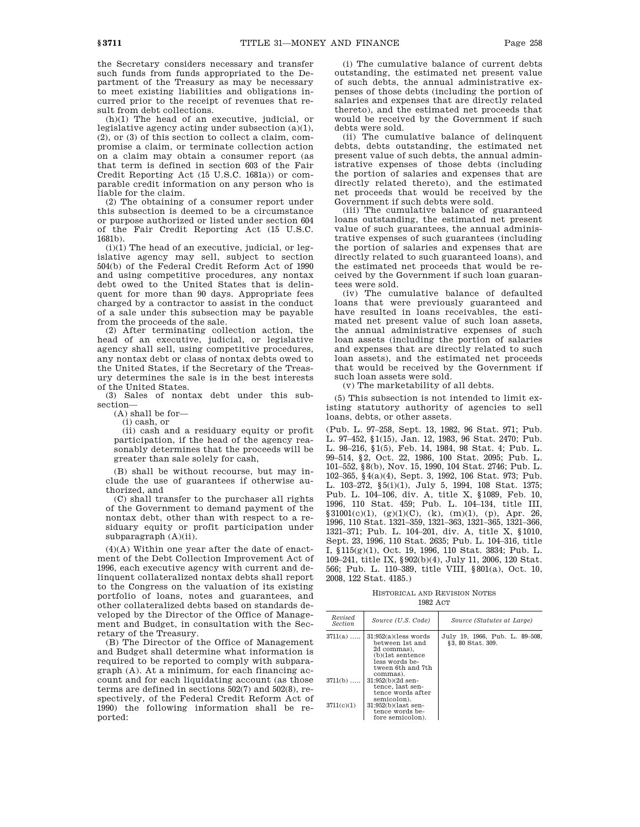the Secretary considers necessary and transfer such funds from funds appropriated to the Department of the Treasury as may be necessary to meet existing liabilities and obligations incurred prior to the receipt of revenues that result from debt collections.

(h)(1) The head of an executive, judicial, or legislative agency acting under subsection (a)(1), (2), or (3) of this section to collect a claim, compromise a claim, or terminate collection action on a claim may obtain a consumer report (as that term is defined in section 603 of the Fair Credit Reporting Act (15 U.S.C. 1681a)) or comparable credit information on any person who is liable for the claim.

(2) The obtaining of a consumer report under this subsection is deemed to be a circumstance or purpose authorized or listed under section 604 of the Fair Credit Reporting Act (15 U.S.C. 1681b).

 $(i)(i)$  The head of an executive, judicial, or legislative agency may sell, subject to section 504(b) of the Federal Credit Reform Act of 1990 and using competitive procedures, any nontax debt owed to the United States that is delinquent for more than 90 days. Appropriate fees charged by a contractor to assist in the conduct of a sale under this subsection may be payable from the proceeds of the sale.

(2) After terminating collection action, the head of an executive, judicial, or legislative agency shall sell, using competitive procedures, any nontax debt or class of nontax debts owed to the United States, if the Secretary of the Treasury determines the sale is in the best interests of the United States.

(3) Sales of nontax debt under this subsection—

(A) shall be for—

(i) cash, or

(ii) cash and a residuary equity or profit participation, if the head of the agency reasonably determines that the proceeds will be greater than sale solely for cash,

(B) shall be without recourse, but may include the use of guarantees if otherwise authorized, and

(C) shall transfer to the purchaser all rights of the Government to demand payment of the nontax debt, other than with respect to a residuary equity or profit participation under subparagraph (A)(ii).

(4)(A) Within one year after the date of enactment of the Debt Collection Improvement Act of 1996, each executive agency with current and delinquent collateralized nontax debts shall report to the Congress on the valuation of its existing portfolio of loans, notes and guarantees, and other collateralized debts based on standards developed by the Director of the Office of Management and Budget, in consultation with the Secretary of the Treasury.

(B) The Director of the Office of Management and Budget shall determine what information is required to be reported to comply with subparagraph (A). At a minimum, for each financing account and for each liquidating account (as those terms are defined in sections 502(7) and 502(8), respectively, of the Federal Credit Reform Act of 1990) the following information shall be reported:

(i) The cumulative balance of current debts outstanding, the estimated net present value of such debts, the annual administrative expenses of those debts (including the portion of salaries and expenses that are directly related thereto), and the estimated net proceeds that would be received by the Government if such debts were sold.

(ii) The cumulative balance of delinquent debts, debts outstanding, the estimated net present value of such debts, the annual administrative expenses of those debts (including the portion of salaries and expenses that are directly related thereto), and the estimated net proceeds that would be received by the Government if such debts were sold.

(iii) The cumulative balance of guaranteed loans outstanding, the estimated net present value of such guarantees, the annual administrative expenses of such guarantees (including the portion of salaries and expenses that are directly related to such guaranteed loans), and the estimated net proceeds that would be received by the Government if such loan guarantees were sold.

(iv) The cumulative balance of defaulted loans that were previously guaranteed and have resulted in loans receivables, the estimated net present value of such loan assets, the annual administrative expenses of such loan assets (including the portion of salaries and expenses that are directly related to such loan assets), and the estimated net proceeds that would be received by the Government if such loan assets were sold.

(v) The marketability of all debts.

(5) This subsection is not intended to limit existing statutory authority of agencies to sell loans, debts, or other assets.

(Pub. L. 97–258, Sept. 13, 1982, 96 Stat. 971; Pub. L. 97–452, §1(15), Jan. 12, 1983, 96 Stat. 2470; Pub. L. 98–216, §1(5), Feb. 14, 1984, 98 Stat. 4; Pub. L. 99–514, §2, Oct. 22, 1986, 100 Stat. 2095; Pub. L. 101–552, §8(b), Nov. 15, 1990, 104 Stat. 2746; Pub. L. 102–365, §4(a)(4), Sept. 3, 1992, 106 Stat. 973; Pub. L. 103–272, §5(i)(1), July 5, 1994, 108 Stat. 1375; Pub. L. 104–106, div. A, title X, §1089, Feb. 10, 1996, 110 Stat. 459; Pub. L. 104–134, title III,  $\$31001(c)(1), (g)(1)(C), (k), (m)(1), (p), Apr. 26,$ 1996, 110 Stat. 1321–359, 1321–363, 1321–365, 1321–366, 1321–371; Pub. L. 104–201, div. A, title X, §1010, Sept. 23, 1996, 110 Stat. 2635; Pub. L. 104–316, title I, §115(g)(1), Oct. 19, 1996, 110 Stat. 3834; Pub. L. 109–241, title IX, §902(b)(4), July 11, 2006, 120 Stat. 566; Pub. L. 110–389, title VIII, §801(a), Oct. 10, 2008, 122 Stat. 4185.)

HISTORICAL AND REVISION NOTES 1982 ACT

| Revised<br><b>Section</b> | Source (U.S. Code)                                                                                                             | Source (Statutes at Large)                         |
|---------------------------|--------------------------------------------------------------------------------------------------------------------------------|----------------------------------------------------|
| $3711(a)$                 | 31:952(a)(less words)<br>between 1st and<br>2d commas).<br>(b)(1st sentence<br>less words be-<br>tween 6th and 7th<br>commas). | July 19, 1966, Pub. L. 89-508,<br>§3.80 Stat. 309. |
| $3711(b)$                 | $31:952(b)(2d$ sen-<br>tence, last sen-<br>tence words after<br>semicolon).                                                    |                                                    |
| 3711(c)(1)                | $31:952(b)(last sen-$<br>tence words be-<br>fore semicolon).                                                                   |                                                    |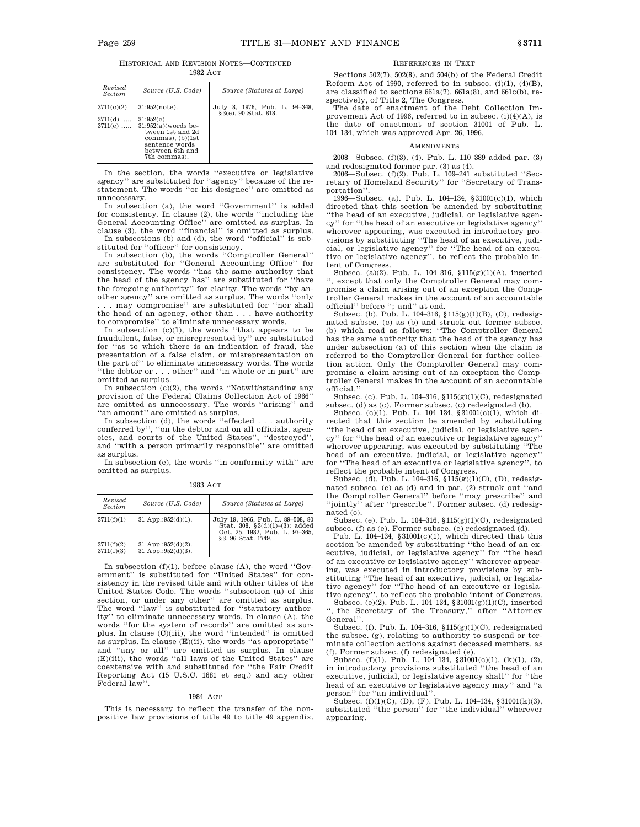| Source (U.S. Code)                                                                                                       | Source (Statutes at Large)                            |
|--------------------------------------------------------------------------------------------------------------------------|-------------------------------------------------------|
| $31:952(note)$ .<br>$31:952(c)$ .<br>$31:952(a)$ (words be-<br>tween 1st and 2d<br>commas), $(b)(1st)$<br>sentence words | July 8, 1976, Pub. L. 94-348,<br>§3(e), 90 Stat. 818. |
|                                                                                                                          | between 6th and<br>7th commas).                       |

In the section, the words ''executive or legislative agency'' are substituted for ''agency'' because of the restatement. The words ''or his designee'' are omitted as unnecessary.

In subsection (a), the word ''Government'' is added for consistency. In clause (2), the words ''including the General Accounting Office'' are omitted as surplus. In clause (3), the word ''financial'' is omitted as surplus.

In subsections (b) and (d), the word ''official'' is substituted for ''officer'' for consistency.

In subsection (b), the words ''Comptroller General'' are substituted for ''General Accounting Office'' for consistency. The words ''has the same authority that the head of the agency has'' are substituted for ''have the foregoing authority'' for clarity. The words ''by another agency'' are omitted as surplus. The words ''only .. may compromise" are substituted for "nor shall the head of an agency, other than . . . have authority to compromise'' to eliminate unnecessary words.

In subsection  $(c)(1)$ , the words "that appears to be fraudulent, false, or misrepresented by'' are substituted for ''as to which there is an indication of fraud, the presentation of a false claim, or misrepresentation on the part of'' to eliminate unnecessary words. The words ''the debtor or . . . other'' and ''in whole or in part'' are omitted as surplus.

In subsection (c)(2), the words ''Notwithstanding any provision of the Federal Claims Collection Act of 1966'' are omitted as unnecessary. The words ''arising'' and ''an amount'' are omitted as surplus.

In subsection (d), the words ''effected . . . authority conferred by'', ''on the debtor and on all officials, agencies, and courts of the United States'', ''destroyed'', and ''with a person primarily responsible'' are omitted as surplus.

In subsection (e), the words ''in conformity with'' are omitted as surplus.

1983 ACT

| Revised<br><b>Section</b> | Source (U.S. Code)                               | Source (Statutes at Large)                                                                                                     |
|---------------------------|--------------------------------------------------|--------------------------------------------------------------------------------------------------------------------------------|
| 3711(f)(1)                | 31 App.: $952(d)(1)$ .                           | July 19, 1966, Pub. L. 89-508, 80<br>Stat. 308, $\S3(d)(1)–(3)$ ; added<br>Oct. 25, 1982, Pub. L. 97-365,<br>§3.96 Stat. 1749. |
| 3711(f)(2)<br>3711(f)(3)  | 31 App.: $952(d)(2)$ .<br>31 App.:952 $(d)(3)$ . |                                                                                                                                |

In subsection (f)(1), before clause (A), the word ''Government'' is substituted for ''United States'' for consistency in the revised title and with other titles of the United States Code. The words ''subsection (a) of this section, or under any other'' are omitted as surplus. The word ''law'' is substituted for ''statutory authority'' to eliminate unnecessary words. In clause (A), the words ''for the system of records'' are omitted as surplus. In clause (C)(iii), the word ''intended'' is omitted as surplus. In clause (E)(ii), the words ''as appropriate'' and ''any or all'' are omitted as surplus. In clause (E)(iii), the words ''all laws of the United States'' are coextensive with and substituted for ''the Fair Credit Reporting Act (15 U.S.C. 1681 et seq.) and any other Federal law''.

# 1984 ACT

This is necessary to reflect the transfer of the nonpositive law provisions of title 49 to title 49 appendix.

### REFERENCES IN TEXT

Sections 502(7), 502(8), and 504(b) of the Federal Credit Reform Act of 1990, referred to in subsec.  $(i)(1)$ ,  $(4)(B)$ , are classified to sections 661a(7), 661a(8), and 661c(b), respectively, of Title 2, The Congress.

The date of enactment of the Debt Collection Improvement Act of 1996, referred to in subsec. (i)(4)(A), is the date of enactment of section 31001 of Pub. L. 104–134, which was approved Apr. 26, 1996.

#### AMENDMENTS

2008—Subsec. (f)(3), (4). Pub. L. 110–389 added par. (3) and redesignated former par. (3) as (4).

2006—Subsec. (f)(2). Pub. L. 109–241 substituted ''Secretary of Homeland Security'' for ''Secretary of Transportation''.

1996—Subsec. (a). Pub. L. 104–134, §31001(c)(1), which directed that this section be amended by substituting ''the head of an executive, judicial, or legislative agency'' for ''the head of an executive or legislative agency'' wherever appearing, was executed in introductory provisions by substituting ''The head of an executive, judicial, or legislative agency'' for ''The head of an executive or legislative agency'', to reflect the probable intent of Congress.

Subsec. (a)(2). Pub. L. 104–316, §115(g)(1)(A), inserted '', except that only the Comptroller General may compromise a claim arising out of an exception the Comptroller General makes in the account of an accountable official'' before ''; and'' at end.

Subsec. (b). Pub. L. 104–316, §115(g)(1)(B), (C), redesignated subsec. (c) as (b) and struck out former subsec. (b) which read as follows: ''The Comptroller General has the same authority that the head of the agency has under subsection (a) of this section when the claim is referred to the Comptroller General for further collection action. Only the Comptroller General may compromise a claim arising out of an exception the Comptroller General makes in the account of an accountable official.''

Subsec. (c). Pub. L. 104–316, §115(g)(1)(C), redesignated

subsec. (d) as (c). Former subsec. (c) redesignated (b). Subsec. (c)(1). Pub. L. 104–134, §31001(c)(1), which directed that this section be amended by substituting ''the head of an executive, judicial, or legislative agency'' for ''the head of an executive or legislative agency'' wherever appearing, was executed by substituting ''The head of an executive, judicial, or legislative agency'' for ''The head of an executive or legislative agency'', to reflect the probable intent of Congress.

Subsec. (d). Pub. L. 104–316,  $115(g)(1)(C)$ , (D), redesignated subsec. (e) as (d) and in par. (2) struck out ''and the Comptroller General'' before ''may prescribe'' and ''jointly'' after ''prescribe''. Former subsec. (d) redesignated (c).

Subsec. (e). Pub. L. 104–316, §115(g)(1)(C), redesignated subsec. (f) as (e). Former subsec. (e) redesignated (d).

Pub. L. 104–134, §31001(c)(1), which directed that this section be amended by substituting ''the head of an executive, judicial, or legislative agency'' for ''the head of an executive or legislative agency'' wherever appearing, was executed in introductory provisions by substituting ''The head of an executive, judicial, or legislative agency'' for ''The head of an executive or legislative agency'', to reflect the probable intent of Congress.

Subsec. (e)(2). Pub. L. 104–134, §31001(g)(1)(C), inserted '', the Secretary of the Treasury,'' after ''Attorney General''.

Subsec. (f). Pub. L. 104–316, §115(g)(1)(C), redesignated the subsec. (g), relating to authority to suspend or terminate collection actions against deceased members, as (f). Former subsec. (f) redesignated (e).

Subsec. (f)(1). Pub. L. 104–134, §31001(c)(1), (k)(1), (2), in introductory provisions substituted ''the head of an executive, judicial, or legislative agency shall'' for ''the head of an executive or legislative agency may'' and ''a person'' for ''an individual''.

Subsec.  $(f)(1)(C)$ ,  $(D)$ ,  $(F)$ . Pub. L. 104–134, §31001 $(k)(3)$ , substituted ''the person'' for ''the individual'' wherever appearing.